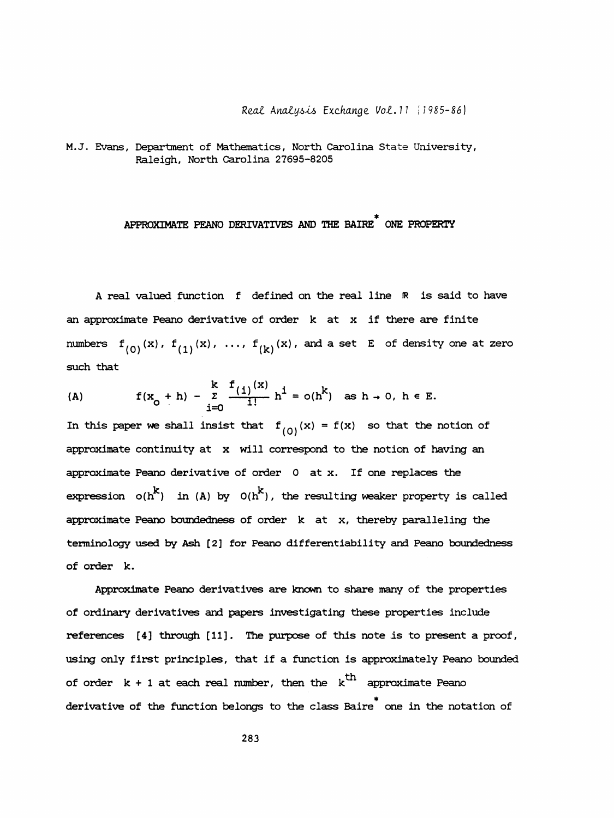Real Analysis Exchange Vol. 11 (1985-86)

 M.J. Evans, Department of Mathematics, North Carolina State University, Raleigh, North Carolina 27695-8205

## APPROXIMATE PEANO DERIVATIVES AND THE BAIRE\* ONE PROPERTY

A real valued function f defined on the real line R is said to have an approximate Peano derivative of order  $k$  at  $x$  if there are finite numbers  $f^{(0)}(x)$ ,  $f^{(1)}(x)$ , ...,  $f^{(k)}(x)$ , and a set E of density one at zero such that

(A) 
$$
f(x_0 + h) - \sum_{i=0}^{k} \frac{f(i)^{(x)}}{i!} h^i = o(h^k)
$$
 as  $h \to 0$ ,  $h \in E$ .

In this paper we shall insist that  $f^{(Q)}(x) = f(x)$  so that the notion of approximate continuity at x will correspond to the notion of having an approximate Peano derivative of order 0 at x. If one replaces the approximate Peano derivative of order  $0$  at x. If one replaces the<br>expression  $o(h^{k})$  in (A) by  $o(h^{k})$ , the resulting weaker property is called approximate Peano boundedness of order k at x, thereby paralleling the terminology used by Ash [2] for Peano differentiability and Peano boundedness of order k.

 Approximate Peano derivatives are known to share many of the properties of ordinary derivatives and papers investigating these properties include references [4] through [11]. The purpose of this note is to present a proof, using only first principles, that if a function is approximately Peano bounded of order  $k + 1$  at each real number, then the  $k<sup>th</sup>$  approximate Peano derivative of the function belongs to the class Baire<sup>\*</sup> one in the notation of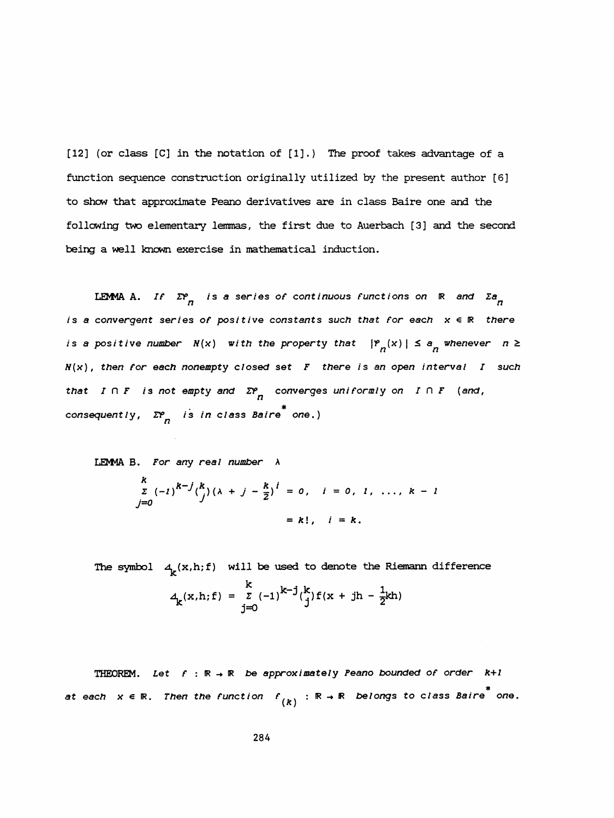[12] (or class [C] in the notation of [1].) The proof takes advantage of a function sequence construction originally utilized by the present author [6] to show that approximate Peano derivatives are in class Baire one and the following two elementary lemmas, the first due to Auerbach [3] and the second being a well known exercise in mathematical induction. ate Peano derivatives are in class Baire one and the<br>ary lemmas, the first due to Auerbach [3] and the secondercise in mathematical induction.<br> $n$  is a series of continuous functions on R and  $\sum_{n=0}^{\infty} n$ <br>as of positiv

is a convergent series of positive constants such that for each  $x \in \mathbb{R}$  there LEMMA A. If  $\Sigma^\varphi_{\phantom{\varphi}\!n}$  is a series of continuous functions on  $\phantom{i}$  R and  $\phantom{i}$  Za is a positive number  $N(x)$  with the property that  $|P_{n}(x)| \le a^n$  whenever  $n \ge$  $N(x)$ , then for each nonempty closed set  $F$  there is an open interval  $I$  such that  $I \cap F$  is not empty and  $\sum_{n=1}^{\infty}$  converges uniformiy on  $I \cap F$  (and, consequently,  $\mathcal{Z}_n^{\rho}$  is in class Baire  $^*$  one.)

LEM4A B. For any real number A

$$
zP_{n} \text{ is in class Baire}^{i}
$$
\n
$$
z_{n} \text{ for any real number } \lambda
$$
\n
$$
\sum_{j=0}^{k} (-1)^{k-j} {k \choose j} (\lambda + j - \frac{k}{2})^{i} = 0, \quad i = 0, 1, \ldots, k - 1
$$
\n
$$
= k!, \quad i = k.
$$

The symbol  $A_{\mathbf{g}}(x,h;\mathbf{f})$  will be used to denote the Riemann difference  $A_k(x,h;f) = \frac{k}{j=0} (-1)^{k-j} {k \choose j} f(x + jh - \frac{1}{2}kh)$ 

THEOREM. Let  $f : \mathbb{R} \to \mathbb{R}$  be approximately Peano bounded of order  $k+1$ at each  $x \, \epsilon \, \mathbb{R}$ . Then the function  $\,f \,_{(k)} \, : \, \mathbb{R} \, \rightarrow \, \mathbb{R} \,$  belongs to class Baire  $^*$  one.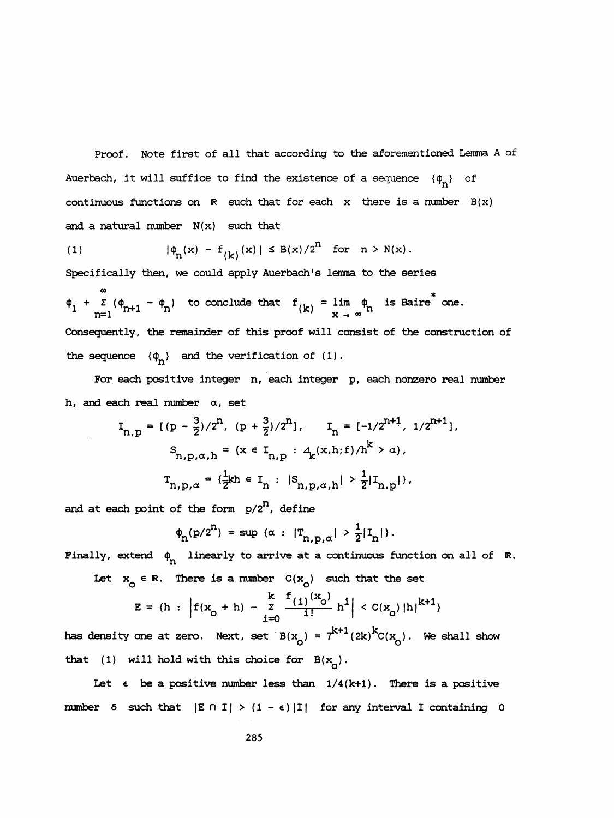Proof. Note first of all that according to the aforementioned Lemma A of Auerbach, it will suffice to find the existence of a sequence  $\{\varphi_n\}$  of continuous functions on  $\mathbb R$  such that for each x there is a number  $B(x)$ and a natural number  $N(x)$  such that

(1) 
$$
|\phi_n(x) - f_{(k)}(x)| \le B(x)/2^n
$$
 for  $n > N(x)$ .

Specifically then, we could apply Auerbach's lemma to the series

1) ontinuous functions on  $\mathbb R$  such that for each  $x$  there is a number<br>
1)  $|\phi_n(x) - f_{(k)}(x)| \leq B(x)/2^n$  for  $n > N(x)$ .<br>
1)  $|\phi_n(x) - f_{(k)}(x)| \leq B(x)/2^n$  for  $n > N(x)$ .<br>
1)  $\phi_n$  is Baire<sup>\*</sup> one.<br>
1)  $\frac{x}{n+1} + \sum_{n=1}^{\infty} (\phi_{n+1} - \phi$  Consequently, the remainder of this proof will consist of the construction of the sequence  $\{\phi_n\}$  and the verification of (1).

 For each positive integer n, each integer p, each nonzero real number h, and each real number  $\alpha$ , set

$$
I_{n,p} = \left[ (p - \frac{3}{2})/2^{n}, (p + \frac{3}{2})/2^{n} \right], \quad I_{n} = \left[ -1/2^{n+1}, 1/2^{n+1} \right],
$$
\n
$$
S_{n,p,\alpha,h} = \left\{ x \in I_{n,p} : \Delta_{k}(x,h;f)/h^{k} > \alpha \right\},
$$
\n
$$
T_{n,p,\alpha} = \left\{ \frac{1}{2}kh \in I_{n} : |S_{n,p,\alpha,h}| > \frac{1}{2}|I_{n,p}| \right\},
$$
\nach point of the form  $p/2^{n}$ , define\n
$$
\phi_{n}(p/2^{n}) = \sup \left\{ \alpha : |T_{n,p,\alpha}| > \frac{1}{2}|I_{n}| \right\}.
$$
\nextend  $\phi_{n}$  linearly to arrive at a continuous function on all of R.\n
$$
x_{0} \in \mathbb{R}.
$$
 There is a number  $C(x_{0})$  such that the set\n
$$
E = \left\{ h : \left| f(x_{0} + h) - \sum_{i=0}^{k} \frac{f(i)^{(x_{0})}}{i!} h^{i} \right| < C(x_{0}) |h|^{k+1} \right\}
$$
\nity one at zero. Next, set  $B(x_{0}) = 7^{k+1}(2k)^{k}C(x_{0})$ . We shall show\nwill hold with this choice for  $B(x_{0})$ .

and at each point of the form  $p/2^n$ , define

$$
\varphi_{n}(p/2^{n}) = \sup \{ \alpha : |T_{n,p,\alpha}| > \frac{1}{2} |I_{n}| \}.
$$
\ntend  $\varphi_{n}$  linearly to arrive at a continuous function or  $\circ$   
\n
$$
\varphi_{0} \in \mathbb{R}.
$$
 There is a number  $C(x_{0})$  such that the set  $\frac{k}{(1)} \sum_{j=0}^{k} \frac{f(j)(x_{0})}{(1 - k)^{j}} \le C(x) |I_{n}|^{k+1}$ 

Finally, extend  $\begin{matrix} \phi_n \end{matrix}$  linearly to arrive at a continuous function on all of  $\phantom{i}$  R.

Let  $x_0 \in \mathbb{R}$ . There is a number  $C(x_0)$  such that the set

$$
E = \{h : \left| f(x_0 + h) - \sum_{i=0}^{k} \frac{f(i)^{(x_0)}}{i!} h^i \right| < C(x_0) |h|^{k+1} \}
$$

 $E = \{h : \left| f(x_0 + h) - \sum_{i=0}^{\infty} \frac{-(i)^{i-c_0}}{i!} h^i \right| < C(x_0) |h|^{k+1} \}$ <br>has density one at zero. Next, set  $B(x_0) = 7^{k+1}(2k)^kC(x_0)$ . We shall show  $T_{n,p,\alpha} = \{\frac{1}{2}kh \in I_n : |S_{n,p,\alpha,h}| > \frac{1}{2} |I_{n,p}| \}$ ,<br>
point of the form  $p/2^n$ , define<br>  $\phi_n(p/2^n) = \sup \{ \alpha : |T_{n,p,\alpha}| > \frac{1}{2} |I_n| \}$ .<br>
end  $\phi_n$  linearly to arrive at a continuous function on all of  $\mathbb{R}$ .<br>  $\in \mathbb{R}$ . There has density one at zero. Next, set  $B(x_0) = 7^{k+1}(2k)^k C(x_0)$ . We shall show that (1) will hold with this choice for  $B(x_0)$ .

Let  $\epsilon$  be a positive number less than  $1/4(k+1)$ . There is a positive number 5 such that  $|E \cap I| > (1 - \epsilon) |I|$  for any interval I containing 0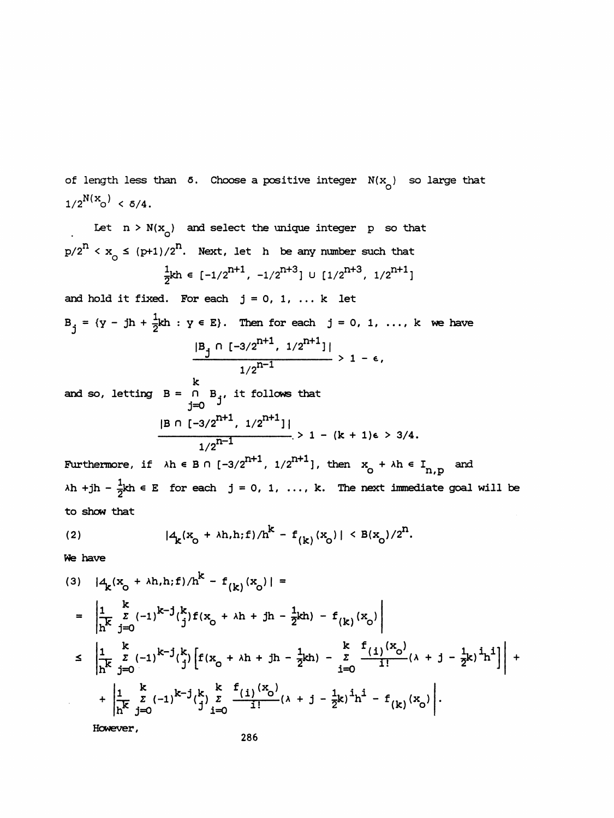of length less than  $\delta$ . Choose a positive integer  $N(x_{\alpha})$  so large that  $1/2^{N(X_{\rm O})}$  < 5/4.

Let  $n > N(x_0)$  and select the unique integer p so that  $p/2^{n} < x_{0} \leq (p+1)/2^{n}$ . Next, let h be any number such that  $\frac{1}{2}$ kh  $\in [-1/2^{n+1}, -1/2^{n+3}] \cup [1/2^{n+3}, 1/2^{n+1}]$ 

and hold it fixed. For each  $j = 0, 1, ... k$  let  $B_{i} = \{y - jh + \frac{1}{2}kh : y \in E\}$ . Then for each  $j = 0, 1, ..., k$  we have  $j = (y - jh + \frac{1}{2})$  $h \in E$ ). Then for each  $j = 0, 1, ..., k$  we have<br>  $\frac{|B_j \cap [-3/2^{n+1}, 1/2^{n+1}]]}{1/2^{n-1}} > 1 - \epsilon,$ 

 k and so, letting  $B = \begin{bmatrix} 0 & B_1 \end{bmatrix}$ , it follows that j=0 3  $|B \cap [-3/2^{n-1}, 1/2^{n-1}]$ 1/2

Furthermore, if  $\lambda h \in B \cap [-3/2^{n+1}, 1/2^{n+1}]$ , then  $x_0 + \lambda h \in I_{n,p}$  $\lambda h$  +jh -  $\frac{1}{2}kh \in E$  for each j = 0, 1, ..., k. The next immediate goal will be to show that

(2) 
$$
|4_k(x_0 + \lambda h, h; f)/h^k - f_{(k)}(x_0)| < B(x_0)/2^n
$$
.

We have

(3) 
$$
|4_k(x_0 + \lambda h, h; f)/h^k - f_{(k)}(x_0)|
$$
 =  
\n
$$
= \left| \frac{1}{h^k} \sum_{j=0}^k (-1)^{k-j} {k \choose j} f(x_0 + \lambda h + jh - \frac{1}{2}kh) - f_{(k)}(x_0) \right|
$$
\n
$$
\leq \left| \frac{1}{h^k} \sum_{j=0}^k (-1)^{k-j} {k \choose j} \left[ f(x_0 + \lambda h + jh - \frac{1}{2}kh) - \sum_{i=0}^k \frac{f_{(i)}(x_0)}{i!} (\lambda + j - \frac{1}{2}k)^i h^i \right] \right| +
$$
\n
$$
+ \left| \frac{1}{h^k} \sum_{j=0}^k (-1)^{k-j} {k \choose j} \sum_{i=0}^k \frac{f_{(i)}(x_0)}{i!} (\lambda + j - \frac{1}{2}k)^i h^i - f_{(k)}(x_0) \right|.
$$

However,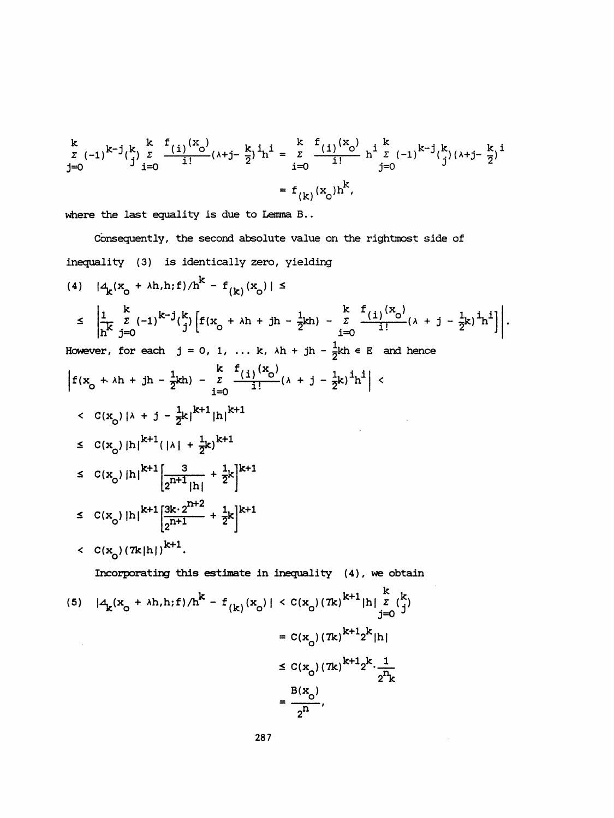$$
\begin{aligned} \sum_{\substack{z \ j=0}}^k (-1)^{k-j} \binom{k}{j} \sum_{i=0}^k \frac{f(i)^{(x_0)}}{i!} (\lambda + j - \frac{k}{2})^i h^i &= \sum_{i=0}^k \frac{f(i)^{(x_0)}}{i!} h^i \sum_{j=0}^k (-1)^{k-j} \binom{k}{j} (\lambda + j - \frac{k}{2})^i \\ &= f_{(k)}(x_0) h^k, \end{aligned}
$$

where the last equality is due to Lemma B..

 Consequently, the second absolute value on the rightmost side of inequality (3) is identically zero, yielding

(4) 
$$
|4_k(x_0 + \lambda h, h; f)/h^k - f_{(k)}(x_0)| \le
$$
  
\n
$$
\leq \left| \frac{1}{h^k} \sum_{j=0}^k (-1)^{k-j} {k \choose j} \left[ f(x_0 + \lambda h + jh - \frac{1}{2}kh) - \sum_{i=0}^k \frac{f_{(i)}(x_0)}{i!} (\lambda + j - \frac{1}{2}k)^i h^i \right] \right|.
$$
  
\nHowever, for each  $j = 0, 1, ... k$ ,  $\lambda h + jh - \frac{1}{2}kh \geq \frac{1}{2}$  and hence  
\n
$$
\left| f(x_0 + \lambda h + jh - \frac{1}{2}kh) - \sum_{i=0}^k \frac{f_{(i)}(x_0)}{i!} (\lambda + j - \frac{1}{2}k)^i h^i \right| <
$$
  
\n
$$
< C(x_0)|\lambda + j - \frac{1}{2}k|^{k+1} |\mathbf{h}|^{k+1}
$$
  
\n
$$
\leq C(x_0)|h|^{k+1} (|\lambda| + \frac{1}{2}k)^{k+1}
$$
  
\n
$$
\leq C(x_0)|h|^{k+1} \left[ \frac{3}{2^{n+1}} + \frac{1}{2}k \right]^{k+1}
$$
  
\n
$$
\leq C(x_0)|h|^{k+1} \left[ \frac{3k \cdot 2^{n+2}}{2^{n+1}} + \frac{1}{2}k \right]^{k+1}
$$
  
\n
$$
< C(x_0)(7k|h|)^{k+1}.
$$
  
\nIncorporating this estimate in inequality (4), we obtain  
\n(5)  $|A_k(x_0 + \lambda h, h; f)/h^k - f_{(k)}(x_0)| < C(x_0)(7k)^{k+1} |\mathbf{h}| \leq \frac{k}{1-0}$   
\n
$$
= C(x_0)(7k)^{k+1} \geq \frac{k}{1-0}
$$

$$
\leq C(\mathbf{x}_0) (7\mathbf{k})^{K+1} 2^{K} \cdot \frac{1}{2^n \mathbf{k}}
$$

$$
= \frac{\mathbf{B}(\mathbf{x}_0)}{2^n},
$$

 $\mathcal{A}^{\pm}$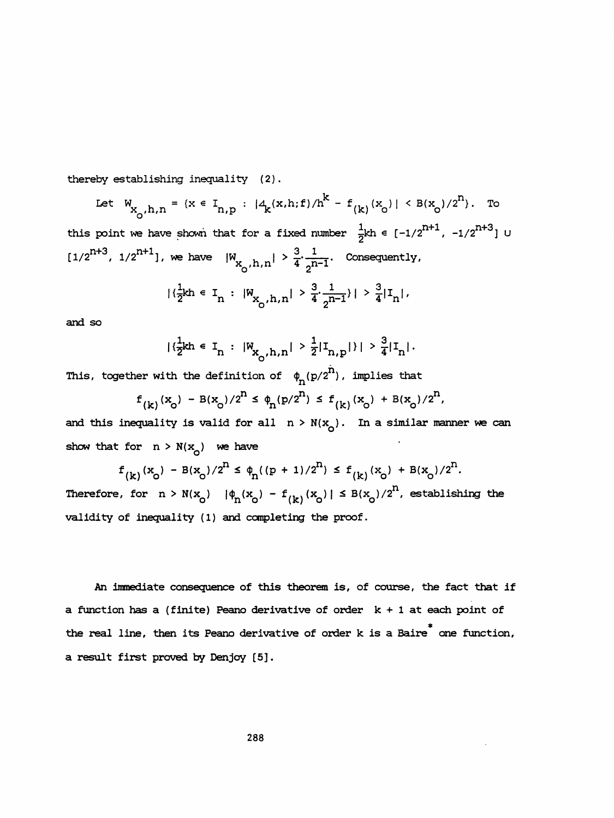thereby establishing inequality (2).

Let 
$$
W_{X_0, h, n} = \{x \in I_{n,p} : |4_k(x, h; f)/h^k - f_{(k)}(x_0)| \leq B(x_0)/2^n\}
$$
. To  
this point we have shown that for a fixed number  $\frac{1}{2}kh \in [-1/2^{n+1}, -1/2^{n+3}]$  U  
 $[1/2^{n+3}, 1/2^{n+1}]$ , we have  $|W_{X_0, h, n}| > \frac{3}{4} \cdot \frac{1}{2^{n-1}}$ . Consequently,  
 $|{\frac{1}{2}kh \in I_n : |W_{X_0, h, n}| > \frac{3}{4} \cdot \frac{1}{2^{n-1}}| > \frac{3}{4} |I_n|}$ .

and so

$$
|\{\frac{1}{2}kh \in I_n : |W_{X_0,h,n}| > \frac{1}{2}|I_{n,p}|\}| > \frac{3}{4}|I_n|.
$$

This, together with the definition of  $\phi_n(p/2^n)$ , implies that

$$
f_{(k)}(x_o) - B(x_o)/2^n \le \phi_n(p/2^n) \le f_{(k)}(x_o) + B(x_o)/2^n
$$
,

and this inequality is valid for all  $n > N(x_0)$ . In a similar manner we can show that for  $n > N(x_0)$  we have

 $f_{(k)}(x_{0}) - B(x_{0})/2^{n} \leq \phi_{n}((p + 1)/2^{n}) \leq f_{(k)}(x_{0}) + B(x_{0})/2^{n}.$ Therefore, for  $n > N(x_0)$   $|\phi_n(x_0) - f_{(k)}(x_0)| \leq B(x_0)/2^n$ , establishing the validity of inequality (1) and completing the proof.

 An immediate consequence of this theorem is, of course, the fact that if a function has a (finite) Peano derivative of order  $k + 1$  at each point of the real line, then its Peano derivative of order k is a Baire<sup>\*</sup> one function, a result first proved by Denjoy [5].